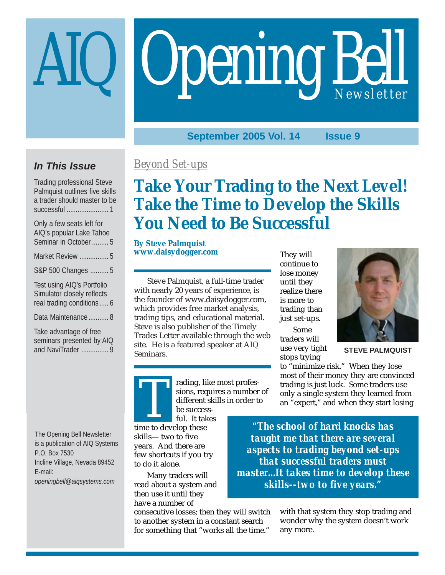# Opening Bell

**September 2005 Vol. 14 Issue 9**

## **In This Issue**

Trading professional Steve Palmquist outlines five skills a trader should master to be successful ....................... 1

| Only a few seats left for<br>AIQ's popular Lake Tahoe<br>Seminar in October  5         |
|----------------------------------------------------------------------------------------|
| Market Review  5                                                                       |
| S&P 500 Changes  5                                                                     |
| Test using AIQ's Portfolio<br>Simulator closely reflects<br>real trading conditions  6 |
| Data Maintenance  8                                                                    |
| Take advantage of free<br>seminars presented by AIQ<br>and NaviTrader  9               |

The Opening Bell Newsletter is a publication of AIQ Systems P.O. Box 7530 Incline Village, Nevada 89452 E-mail: *openingbell@aiqsystems.com*

## *Beyond Set-ups*

# **Take Your Trading to the Next Level! Take the Time to Develop the Skills You Need to Be Successful**

**By Steve Palmquist www.daisydogger.com**

Steve Palmquist, a full-time trader with nearly 20 years of experience, is the founder of www.daisydogger.com, which provides free market analysis, trading tips, and educational material. Steve is also publisher of the Timely Trades Letter available through the web site. He is a featured speaker at AIQ Seminars.

They will continue to lose money until they realize there is more to trading than just set-ups.

Some traders will use very tight stops trying



**STEVE PALMQUIST**

to "minimize risk." When they lose most of their money they are convinced trading is just luck. Some traders use only a single system they learned from an "expert," and when they start losing

rading, like most professions, requires a number of different skills in order to be success-

ful. It takes time to develop these<br>time to develop these skills— two to five years. And there are few shortcuts if you try to do it alone.

Many traders will read about a system and then use it until they have a number of

consecutive losses; then they will switch to another system in a constant search for something that "works all the time."

*"The school of hard knocks has taught me that there are several aspects to trading beyond set-ups that successful traders must master...It takes time to develop these skills--two to five years."*

> with that system they stop trading and wonder why the system doesn't work any more.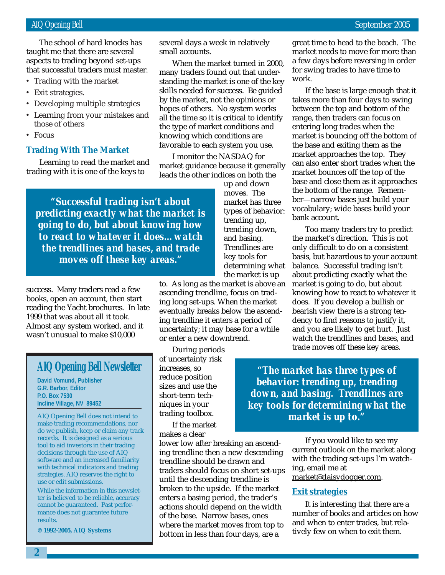that successful traders must master. The school of hard knocks has taught me that there are several aspects to trading beyond set-ups

- Trading with the market
- Exit strategies.
- Developing multiple strategies
- Learning from your mistakes and those of others
- Focus

#### **Trading With The Market**

Learning to read the market and trading with it is one of the keys to

*"Successful trading isn't about predicting exactly what the market is going to do, but about knowing how to react to whatever it does…watch the trendlines and bases, and trade moves off these key areas."*

success. Many traders read a few books, open an account, then start reading the Yacht brochures. In late 1999 that was about all it took. Almost any system worked, and it wasn't unusual to make \$10,000

#### **AIQ Opening Bell Newsletter**

**David Vomund, Publisher G.R. Barbor, Editor P.O. Box 7530 Incline Village, NV 89452**

AIQ Opening Bell does not intend to make trading recommendations, nor do we publish, keep or claim any track records. It is designed as a serious tool to aid investors in their trading decisions through the use of AIQ software and an increased familiarity with technical indicators and trading strategies. AIQ reserves the right to use or edit submissions.

While the information in this newsletter is believed to be reliable, accuracy cannot be guaranteed. Past performance does not guarantee future results.

**© 1992-2005, AIQ Systems**

several days a week in relatively small accounts.

When the market turned in 2000, many traders found out that understanding the market is one of the key skills needed for success. Be guided by the market, not the opinions or hopes of others. No system works all the time so it is critical to identify the type of market conditions and knowing which conditions are favorable to each system you use.

I monitor the NASDAQ for market guidance because it generally leads the other indices on both the

> up and down moves. The market has three types of behavior: trending up, trending down, and basing. Trendlines are key tools for determining what the market is up

to. As long as the market is above an ascending trendline, focus on trading long set-ups. When the market eventually breaks below the ascending trendline it enters a period of uncertainty; it may base for a while or enter a new downtrend.

During periods of uncertainty risk increases, so reduce position sizes and use the short-term techniques in your trading toolbox.

If the market makes a clear

lower low after breaking an ascending trendline then a new descending trendline should be drawn and traders should focus on short set-ups until the descending trendline is broken to the upside. If the market enters a basing period, the trader's actions should depend on the width of the base. Narrow bases, ones where the market moves from top to bottom in less than four days, are a

great time to head to the beach. The market needs to move for more than a few days before reversing in order for swing trades to have time to work.

If the base is large enough that it takes more than four days to swing between the top and bottom of the range, then traders can focus on entering long trades when the market is bouncing off the bottom of the base and exiting them as the market approaches the top. They can also enter short trades when the market bounces off the top of the base and close them as it approaches the bottom of the range. Remember—narrow bases just build your vocabulary; wide bases build your bank account.

Too many traders try to predict the market's direction. This is not only difficult to do on a consistent basis, but hazardous to your account balance. Successful trading isn't about predicting exactly what the market is going to do, but about knowing how to react to whatever it does. If you develop a bullish or bearish view there is a strong tendency to find reasons to justify it, and you are likely to get hurt. Just watch the trendlines and bases, and trade moves off these key areas.

*"The market has three types of behavior: trending up, trending down, and basing. Trendlines are key tools for determining what the market is up to."*

> If you would like to see my current outlook on the market along with the trading set-ups I'm watching, email me at market@daisydogger.com.

#### **Exit strategies**

It is interesting that there are a number of books and articles on how and when to enter trades, but relatively few on when to exit them.

**2**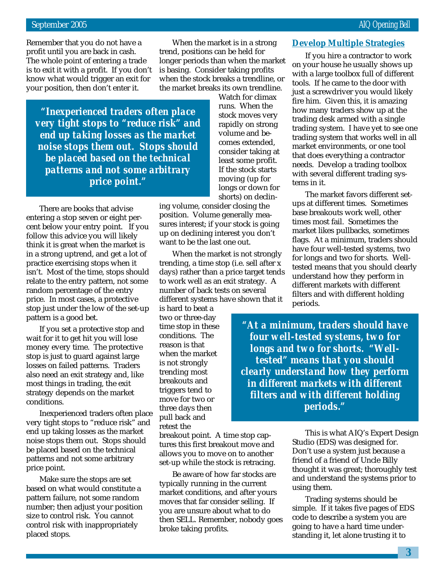Remember that you do not have a profit until you are back in cash. The whole point of entering a trade is to exit it with a profit. If you don't know what would trigger an exit for your position, then don't enter it.

When the market is in a strong trend, positions can be held for longer periods than when the market is basing. Consider taking profits when the stock breaks a trendline, or the market breaks its own trendline.

*"Inexperienced traders often place very tight stops to "reduce risk" and end up taking losses as the market noise stops them out. Stops should be placed based on the technical patterns and not some arbitrary price point."*

There are books that advise entering a stop seven or eight percent below your entry point. If you follow this advice you will likely think it is great when the market is in a strong uptrend, and get a lot of practice exercising stops when it isn't. Most of the time, stops should relate to the entry pattern, not some random percentage of the entry price. In most cases, a protective stop just under the low of the set-up pattern is a good bet.

If you set a protective stop and wait for it to get hit you will lose money every time. The protective stop is just to guard against large losses on failed patterns. Traders also need an exit strategy and, like most things in trading, the exit strategy depends on the market conditions.

Inexperienced traders often place very tight stops to "reduce risk" and end up taking losses as the market noise stops them out. Stops should be placed based on the technical patterns and not some arbitrary price point.

Make sure the stops are set based on what would constitute a pattern failure, not some random number; then adjust your position size to control risk. You cannot control risk with inappropriately placed stops.

Watch for climax runs. When the stock moves very rapidly on strong volume and becomes extended, consider taking at least some profit. If the stock starts moving (up for longs or down for shorts) on declin-

ing volume, consider closing the position. Volume generally measures interest; if your stock is going up on declining interest you don't want to be the last one out.

When the market is not strongly trending, a time stop (i.e. sell after x days) rather than a price target tends to work well as an exit strategy. A number of back tests on several different systems have shown that it

is hard to beat a two or three-day time stop in these conditions. The reason is that when the market is not strongly trending most breakouts and triggers tend to move for two or three days then pull back and retest the

breakout point. A time stop captures this first breakout move and allows you to move on to another set-up while the stock is retracing.

Be aware of how far stocks are typically running in the current market conditions, and after yours moves that far consider selling. If you are unsure about what to do then SELL. Remember, nobody goes broke taking profits.

#### **Develop Multiple Strategies**

If you hire a contractor to work on your house he usually shows up with a large toolbox full of different tools. If he came to the door with just a screwdriver you would likely fire him. Given this, it is amazing how many traders show up at the trading desk armed with a single trading system. I have yet to see one trading system that works well in all market environments, or one tool that does everything a contractor needs. Develop a trading toolbox with several different trading systems in it.

The market favors different setups at different times. Sometimes base breakouts work well, other times most fail. Sometimes the market likes pullbacks, sometimes flags. At a minimum, traders should have four well-tested systems, two for longs and two for shorts. Welltested means that you should clearly understand how they perform in different markets with different filters and with different holding periods.

*"At a minimum, traders should have four well-tested systems, two for longs and two for shorts. "Welltested" means that you should clearly understand how they perform in different markets with different filters and with different holding periods."*

> This is what AIQ's Expert Design Studio (EDS) was designed for. Don't use a system just because a friend of a friend of Uncle Billy thought it was great; thoroughly test and understand the systems prior to using them.

Trading systems should be simple. If it takes five pages of EDS code to describe a system you are going to have a hard time understanding it, let alone trusting it to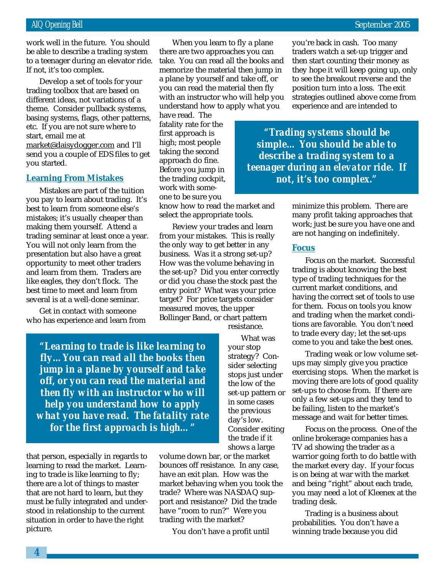If not, it's too complex. work well in the future. You should be able to describe a trading system to a teenager during an elevator ride.

Develop a set of tools for your trading toolbox that are based on different ideas, not variations of a theme. Consider pullback systems, basing systems, flags, other patterns, etc. If you are not sure where to start, email me at market@daisydogger.com and I'll send you a couple of EDS files to get you started.

#### **Learning From Mistakes**

Mistakes are part of the tuition you pay to learn about trading. It's best to learn from someone else's mistakes; it's usually cheaper than making them yourself. Attend a trading seminar at least once a year. You will not only learn from the presentation but also have a great opportunity to meet other traders and learn from them. Traders are like eagles, they don't flock. The best time to meet and learn from several is at a well-done seminar.

Get in contact with someone who has experience and learn from

*"Learning to trade is like learning to fly…You can read all the books then jump in a plane by yourself and take off, or you can read the material and then fly with an instructor who will help you understand how to apply what you have read. The fatality rate for the first approach is high…"*

that person, especially in regards to learning to read the market. Learning to trade is like learning to fly; there are a lot of things to master that are not hard to learn, but they must be fully integrated and understood in relationship to the current situation in order to have the right picture.

When you learn to fly a plane there are two approaches you can take. You can read all the books and memorize the material then jump in a plane by yourself and take off, or you can read the material then fly with an instructor who will help you understand how to apply what you

have read. The fatality rate for the first approach is high; most people taking the second approach do fine. Before you jump in the trading cockpit, work with someone to be sure you

know how to read the market and select the appropriate tools.

Review your trades and learn from your mistakes. This is really the only way to get better in any business. Was it a strong set-up? How was the volume behaving in the set-up? Did you enter correctly or did you chase the stock past the entry point? What was your price target? For price targets consider measured moves, the upper Bollinger Band, or chart pattern

resistance.

What was your stop strategy? Consider selecting stops just under the low of the set-up pattern or in some cases the previous day's low. Consider exiting the trade if it shows a large

volume down bar, or the market bounces off resistance. In any case, have an exit plan. How was the market behaving when you took the trade? Where was NASDAQ support and resistance? Did the trade have "room to run?" Were you trading with the market?

You don't have a profit until

you're back in cash. Too many traders watch a set-up trigger and then start counting their money as they hope it will keep going up, only to see the breakout reverse and the position turn into a loss. The exit strategies outlined above come from experience and are intended to

*"Trading systems should be simple… You should be able to describe a trading system to a teenager during an elevator ride. If not, it's too complex."*

> minimize this problem. There are many profit taking approaches that work; just be sure you have one and are not hanging on indefinitely.

#### **Focus**

Focus on the market. Successful trading is about knowing the best type of trading techniques for the current market conditions, and having the correct set of tools to use for them. Focus on tools you know and trading when the market conditions are favorable. You don't need to trade every day; let the set-ups come to you and take the best ones.

Trading weak or low volume setups may simply give you practice exercising stops. When the market is moving there are lots of good quality set-ups to choose from. If there are only a few set-ups and they tend to be failing, listen to the market's message and wait for better times.

Focus on the process. One of the online brokerage companies has a TV ad showing the trader as a warrior going forth to do battle with the market every day. If your focus is on being at war with the market and being "right" about each trade, you may need a lot of Kleenex at the trading desk.

Trading is a business about probabilities. You don't have a winning trade because you did

**4**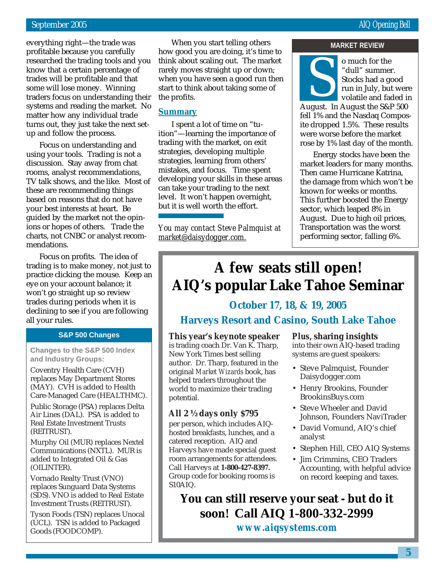everything right—the trade was profitable because you carefully researched the trading tools and you know that a certain percentage of trades will be profitable and that some will lose money. Winning traders focus on understanding their systems and reading the market. No matter how any individual trade turns out, they just take the next setup and follow the process.

Focus on understanding and using your tools. Trading is not a discussion. Stay away from chat rooms, analyst recommendations, TV talk shows, and the like. Most of these are recommending things based on reasons that do not have your best interests at heart. Be guided by the market not the opinions or hopes of others. Trade the charts, not CNBC or analyst recommendations.

Focus on profits. The idea of trading is to make money, not just to practice clicking the mouse. Keep an eye on your account balance; it won't go straight up so review trades during periods when it is declining to see if you are following all your rules.

#### **S&P 500 Changes**

**Changes to the S&P 500 Index and Industry Groups:**

Coventry Health Care (CVH) replaces May Department Stores (MAY). CVH is added to Health Care-Managed Care (HEALTHMC).

Public Storage (PSA) replaces Delta Air Lines (DAL). PSA is added to Real Estate Investment Trusts (REITRUST).

Murphy Oil (MUR) replaces Nextel Communications (NXTL). MUR is added to Integrated Oil & Gas (OILINTER).

Vornado Realty Trust (VNO) replaces Sunguard Data Systems (SDS). VNO is added to Real Estate Investment Trusts (REITRUST).

Tyson Foods (TSN) replaces Unocal (UCL). TSN is added to Packaged Goods (FOODCOMP).

When you start telling others how good you are doing, it's time to think about scaling out. The market rarely moves straight up or down; when you have seen a good run then start to think about taking some of the profits.

#### **Summary**

I spent a lot of time on "tuition"—learning the importance of trading with the market, on exit strategies, developing multiple strategies, learning from others' mistakes, and focus. Time spent developing your skills in these areas can take your trading to the next level. It won't happen overnight, but it is well worth the effort.

*You may contact Steve Palmquist at market@daisydogger.com.*

#### **MARKET REVIEW**



o much for the<br>
"dull" summer.<br>
Stocks had a good<br>
run in July, but were<br>
volatile and faded is<br>
August. In August the S&P 500 "dull" summer. Stocks had a good run in July, but were volatile and faded in

fell 1% and the Nasdaq Composite dropped 1.5%. These results were worse before the market rose by 1% last day of the month.

Energy stocks have been the market leaders for many months. Then came Hurricane Katrina, the damage from which won't be known for weeks or months. This further boosted the Energy sector, which leaped 8% in August. Due to high oil prices, Transportation was the worst performing sector, falling 6%.

# **A few seats still open! AIQ's popular Lake Tahoe Seminar**

#### **October 17, 18, & 19, 2005**

#### **Harveys Resort and Casino, South Lake Tahoe**

#### **This year's keynote speaker**

is trading coach Dr. Van K. Tharp, New York Times best selling author. Dr. Tharp, featured in the original *Market Wizards* book, has helped traders throughout the world to maximize their trading potential.

#### **All 2 ½ days only \$795**

per person, which includes AIQhosted breakfasts, lunches, and a catered reception. AIQ and Harveys have made special guest room arrangements for attendees. Call Harveys at **1-800-427-8397.** Group code for booking rooms is S10AIQ.

#### *Plus***, sharing insights**

into their own AIQ-based trading systems are guest speakers:

- Steve Palmquist, Founder Daisydogger.com
- Henry Brookins, Founder BrookinsBuys.com
- Steve Wheeler and David Johnson, Founders NaviTrader
- David Vomund, AIQ's chief analyst
- Stephen Hill, CEO AIQ Systems
- Jim Crimmins, CEO Traders Accounting, with helpful advice on record keeping and taxes.

**You can still reserve your seat - but do it soon! Call AIQ 1-800-332-2999**

*www.aiqsystems.com*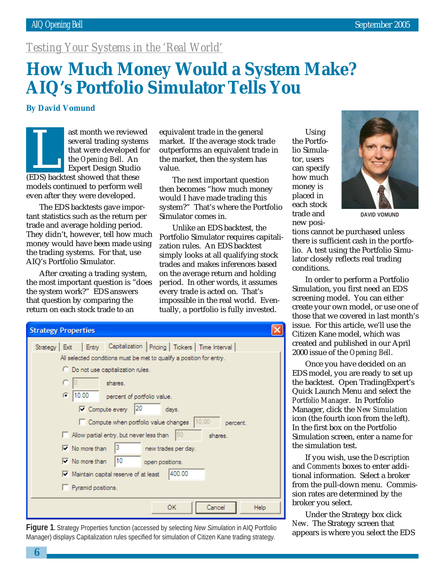#### *Testing Your Systems in the 'Real World'*

## **How Much Money Would a System Make? AIQ's Portfolio Simulator Tells You**

**By David Vomund**

ast month we reviewed several trading systems that were developed for the *Opening Bell*. An Expert Design Studio Experiment we be showed<br>that were developed<br>the *Opening Bell*. An<br>Expert Design Studio<br>(EDS) backtest showed that these models continued to perform well even after they were developed.

The EDS backtests gave important statistics such as the return per trade and average holding period. They didn't, however, tell how much money would have been made using the trading systems. For that, use AIQ's Portfolio Simulator.

After creating a trading system, the most important question is "does the system work?" EDS answers that question by comparing the return on each stock trade to an

equivalent trade in the general market. If the average stock trade outperforms an equivalent trade in the market, then the system has value.

The next important question then becomes "how much money would I have made trading this system?" That's where the Portfolio Simulator comes in.

Unlike an EDS backtest, the Portfolio Simulator requires capitalization rules. An EDS backtest simply looks at all qualifying stock trades and makes inferences based on the average return and holding period. In other words, it assumes every trade is acted on. That's impossible in the real world. Eventually, a portfolio is fully invested.

| <b>Strategy Properties</b>                                                  |  |  |  |  |  |
|-----------------------------------------------------------------------------|--|--|--|--|--|
| Entry Capitalization   Pricing   Tickers   Time Interval<br>Strategy   Exit |  |  |  |  |  |
| All selected conditions must be met to qualify a position for entry.        |  |  |  |  |  |
| C Do not use capitalization rules.                                          |  |  |  |  |  |
| shares.                                                                     |  |  |  |  |  |
| $C = 10.00$<br>percent of portfolio value.                                  |  |  |  |  |  |
| $\nabla$ Compute every 20<br>days.                                          |  |  |  |  |  |
| 10.00<br>Compute when portfolio value changes<br>percent.                   |  |  |  |  |  |
| 50<br>Allow partial entry, but never less than<br>shares.                   |  |  |  |  |  |
| 3<br>$\nabla$ No more than<br>new trades per day.                           |  |  |  |  |  |
| 10<br>$\triangledown$ No more than<br>open positions.                       |  |  |  |  |  |
| 1400.00<br>$\overline{\mathsf{v}}$ Maintain capital reserve of at least     |  |  |  |  |  |
| Pyramid positions.                                                          |  |  |  |  |  |
|                                                                             |  |  |  |  |  |
| ОК<br>Cancel<br>Help                                                        |  |  |  |  |  |

**Figure 1.** Strategy Properties function (accessed by selecting *New Simulation* in AIQ Portfolio Manager) displays Capitalization rules specified for simulation of Citizen Kane trading strategy.

Using the Portfolio Simulator, users can specify how much money is placed in each stock trade and new posi-



**DAVID VOMUND**

tions cannot be purchased unless there is sufficient cash in the portfolio. A test using the Portfolio Simulator closely reflects real trading conditions.

In order to perform a Portfolio Simulation, you first need an EDS screening model. You can either create your own model, or use one of those that we covered in last month's issue. For this article, we'll use the Citizen Kane model, which was created and published in our April 2000 issue of the *Opening Bell*.

Once you have decided on an EDS model, you are ready to set up the backtest. Open TradingExpert's Quick Launch Menu and select the *Portfolio Manager*. In Portfolio Manager, click the *New Simulation* icon (the fourth icon from the left). In the first box on the Portfolio Simulation screen, enter a name for the simulation test.

If you wish, use the *Description* and *Comments* boxes to enter additional information. Select a broker from the pull-down menu. Commission rates are determined by the broker you select.

Under the Strategy box click *New*. The Strategy screen that appears is where you select the EDS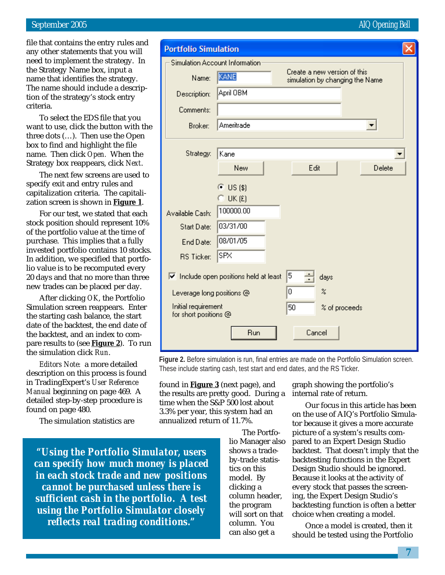#### September 2005 AIQ Opening Bell and the september 2005 AIQ Opening Bell and the september 2005

file that contains the entry rules and any other statements that you will need to implement the strategy. In the Strategy Name box, input a name that identifies the strategy. The name should include a description of the strategy's stock entry criteria.

To select the EDS file that you want to use, click the button with the three dots (…). Then use the Open box to find and highlight the file name. Then click *Open.* When the Strategy box reappears, click *Next*.

The next few screens are used to specify exit and entry rules and capitalization criteria. The capitalization screen is shown in **Figure 1**.

For our test, we stated that each stock position should represent 10% of the portfolio value at the time of purchase. This implies that a fully invested portfolio contains 10 stocks. In addition, we specified that portfolio value is to be recomputed every 20 days and that no more than three new trades can be placed per day.

After clicking *OK*, the Portfolio Simulation screen reappears. Enter the starting cash balance, the start date of the backtest, the end date of the backtest, and an index to compare results to (see **Figure 2**). To run the simulation click *Run*.

*Editors Note:* a more detailed description on this process is found in TradingExpert's *User Reference Manual* beginning on page 469. A detailed step-by-step procedure is found on page 480.

The simulation statistics are

*"Using the Portfolio Simulator, users can specify how much money is placed in each stock trade and new positions cannot be purchased unless there is sufficient cash in the portfolio. A test using the Portfolio Simulator closely reflects real trading conditions."*

| <b>Portfolio Simulation</b>                                                  |                                                                         |                            |  |  |  |  |
|------------------------------------------------------------------------------|-------------------------------------------------------------------------|----------------------------|--|--|--|--|
|                                                                              | Simulation Account Information                                          |                            |  |  |  |  |
| Name:                                                                        | Create a new version of this<br>KANE<br>simulation by changing the Name |                            |  |  |  |  |
| Description:                                                                 | April OBM                                                               |                            |  |  |  |  |
| Comments:                                                                    |                                                                         |                            |  |  |  |  |
| Broker:                                                                      | Ameritrade                                                              |                            |  |  |  |  |
|                                                                              |                                                                         |                            |  |  |  |  |
| Strategy:                                                                    | Kane                                                                    |                            |  |  |  |  |
|                                                                              | New                                                                     | Edit<br>Delete             |  |  |  |  |
|                                                                              | $\bullet$ US (\$)                                                       |                            |  |  |  |  |
|                                                                              | $C$ UK $E$                                                              |                            |  |  |  |  |
| Available Cash:                                                              | 100000.00                                                               |                            |  |  |  |  |
| Start Date:                                                                  | 03/31/00                                                                |                            |  |  |  |  |
| End Date:                                                                    | 08/01/05                                                                |                            |  |  |  |  |
| <b>RS Ticker:</b>                                                            | SPX                                                                     |                            |  |  |  |  |
| 5<br>$\overline{\triangledown}$ Include open positions held at least<br>days |                                                                         |                            |  |  |  |  |
| Leverage long positions @                                                    | 0                                                                       | $\boldsymbol{\mathcal{Z}}$ |  |  |  |  |
| Initial requirement<br>for short positions @                                 | 50                                                                      | % of proceeds              |  |  |  |  |
|                                                                              | Run                                                                     | Cancel                     |  |  |  |  |

**Figure 2.** Before simulation is run, final entries are made on the Portfolio Simulation screen. These include starting cash, test start and end dates, and the RS Ticker.

found in **Figure 3** (next page), and the results are pretty good. During a time when the S&P 500 lost about 3.3% per year, this system had an annualized return of 11.7%.

> The Portfolio Manager also shows a tradeby-trade statistics on this model. By clicking a column header, the program will sort on that column. You can also get a

graph showing the portfolio's internal rate of return.

Our focus in this article has been on the use of AIQ's Portfolio Simulator because it gives a more accurate picture of a system's results compared to an Expert Design Studio backtest. That doesn't imply that the backtesting functions in the Expert Design Studio should be ignored. Because it looks at the activity of every stock that passes the screening, the Expert Design Studio's backtesting function is often a better choice when creating a model.

Once a model is created, then it should be tested using the Portfolio

**7**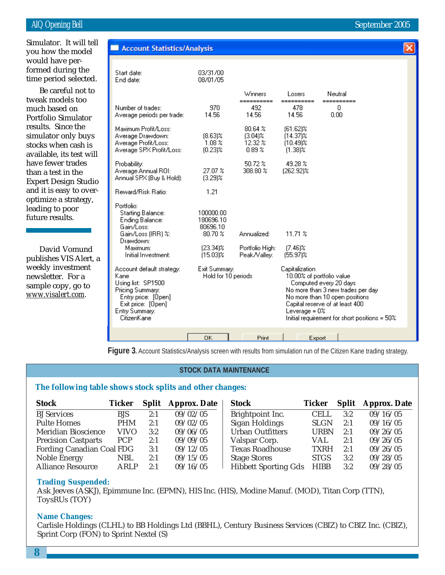March 2002 formed during the Simulator. It will tell you how the model would have pertime period selected.

Be careful not to tweak models too much based on Portfolio Simulator results. Since the simulator only buys stocks when cash is available, its test will have fewer trades than a test in the Expert Design Studio and it is easy to overoptimize a strategy, leading to poor future results.

David Vomund publishes VIS Alert, a weekly investment newsletter. For a sample copy, go to *www.visalert.com.*

| <b>Account Statistics/Analysis</b>                                                                                                                        |                                               |                                                      |                                                                                                                                                                                                                                                          |                                   |  |
|-----------------------------------------------------------------------------------------------------------------------------------------------------------|-----------------------------------------------|------------------------------------------------------|----------------------------------------------------------------------------------------------------------------------------------------------------------------------------------------------------------------------------------------------------------|-----------------------------------|--|
| Start date:<br>End date:                                                                                                                                  | 03/31/00<br>08/01/05                          |                                                      |                                                                                                                                                                                                                                                          |                                   |  |
| Number of trades:<br>Average periods per trade:                                                                                                           | 970<br>14.56                                  | Winners<br>==========<br>492<br>14.56                | Losers<br>==========<br>478<br>14.56                                                                                                                                                                                                                     | Neutral<br>=========<br>0<br>0.00 |  |
| Maximum Profit/Loss:<br>Average Drawdown:<br>Average Profit/Loss:<br>Average SPX Profit/Loss:                                                             | $(8.63)\%$<br>$1.08 \times$<br>$(0.23)$ %     | 80.64%<br>$(3.04)$ %<br>12.32 %<br>0.89 <sup>2</sup> | $[61.62]\%$<br>$(14.37)\%$<br>$(10.49)$ %<br>$(1.38)$ %                                                                                                                                                                                                  |                                   |  |
| Probability:<br>Average Annual ROI:<br>Annual SPX (Buy & Hold):                                                                                           | 27.07 %<br>$(3.29)$ %                         | 50.72 %<br>308.80 %                                  | 49.28 %<br>$[262.92]\%$                                                                                                                                                                                                                                  |                                   |  |
| <b>Beward/Bisk Batio:</b>                                                                                                                                 | 1.21                                          |                                                      |                                                                                                                                                                                                                                                          |                                   |  |
| Portfolio:<br><b>Starting Balance:</b><br><b>Ending Balance:</b><br>Gain/Loss:<br>Gain/Loss (IRR) %:                                                      | 100000.00<br>180696.10<br>80696.10<br>80.70 % | Annualized:                                          | $11.71 \times$                                                                                                                                                                                                                                           |                                   |  |
| Drawdown:<br>Maximum:<br>Initial Investment:                                                                                                              | $[23.34]$ %<br>$(15.03)$ %                    | Portfolio High:<br>Peak/Valley:                      | $(7.46)$ %<br>$(55.97)\%$                                                                                                                                                                                                                                |                                   |  |
| Account default strategy:<br>Kane<br>Using list: SP1500<br>Pricing Summary:<br>Entry price: [Open]<br>Exit price: [Open]<br>Entry Summary:<br>CitizenKane | Exit Summary:<br>Hold for 10 periods          |                                                      | Capitalization<br>10.00% of portfolio value<br>Computed every 20 days<br>No more than 3 new trades per day<br>No more than 10 open positions.<br>Capital reserve of at least 400<br>Leverage = $0\%$<br>Initial requirement for short positions = $50\%$ |                                   |  |
| 0K<br>Print<br>Export                                                                                                                                     |                                               |                                                      |                                                                                                                                                                                                                                                          |                                   |  |

**Figure 3.** Account Statistics/Analysis screen with results from simulation run of the Citizen Kane trading strategy.

#### **STOCK DATA MAINTENANCE**

#### **The following table shows stock splits and other changes:**

| <b>Stock</b>               | <b>Ticker</b> |     | <b>Split</b> Approx. Date | <b>Stock</b>                | Ticker      | <b>Split</b> | <b>Approx. Date</b> |
|----------------------------|---------------|-----|---------------------------|-----------------------------|-------------|--------------|---------------------|
| <b>BJ</b> Services         | <b>BJS</b>    | 2:1 | 09/02/05                  | Brightpoint Inc.            | CELL        | 3:2          | 09/16/05            |
| <b>Pulte Homes</b>         | <b>PHM</b>    | 2:1 | 09/02/05                  | <b>Sigan Holdings</b>       | <b>SLGN</b> | 2:1          | 09/16/05            |
| <b>Meridian Bioscience</b> | VIVO          | 3:2 | 09/06/05                  | <b>Urban Outfitters</b>     | <b>URBN</b> | 2:1          | 09/26/05            |
| <b>Precision Castparts</b> | <b>PCP</b>    | 2:1 | 09/09/05                  | Valspar Corp.               | <b>VAL</b>  | 2:1          | 09/26/05            |
| Fording Canadian Coal FDG  |               | 3:1 | 09/12/05                  | <b>Texas Roadhouse</b>      | <b>TXRH</b> | 2:1          | 09/26/05            |
| Noble Energy               | <b>NBL</b>    | 2:1 | 09/15/05                  | <b>Stage Stores</b>         | <b>STGS</b> | 3:2          | 09/28/05            |
| <b>Alliance Resource</b>   | ARLP          | 2:1 | 09/16/05                  | <b>Hibbett Sporting Gds</b> | <b>HIBB</b> | 3:2          | 09/28/05            |

#### **Trading Suspended:**

Ask Jeeves (ASKJ), Epimmune Inc. (EPMN), HIS Inc. (HIS), Modine Manuf. (MOD), Titan Corp (TTN), ToysRUs (TOY)

#### **Name Changes:**

Carlisle Holdings (CLHL) to BB Holdings Ltd (BBHL), Century Business Services (CBIZ) to CBIZ Inc. (CBIZ), Sprint Corp (FON) to Sprint Nextel (S)